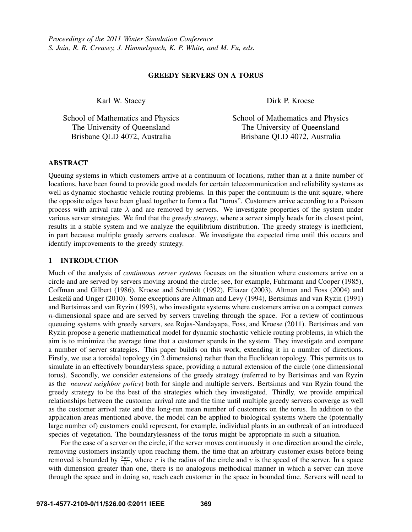## GREEDY SERVERS ON A TORUS

Karl W. Stacey

School of Mathematics and Physics The University of Queensland Brisbane QLD 4072, Australia

Dirk P. Kroese

School of Mathematics and Physics The University of Queensland Brisbane QLD 4072, Australia

## ABSTRACT

Queuing systems in which customers arrive at a continuum of locations, rather than at a finite number of locations, have been found to provide good models for certain telecommunication and reliability systems as well as dynamic stochastic vehicle routing problems. In this paper the continuum is the unit square, where the opposite edges have been glued together to form a flat "torus". Customers arrive according to a Poisson process with arrival rate  $\lambda$  and are removed by servers. We investigate properties of the system under various server strategies. We find that the *greedy strategy*, where a server simply heads for its closest point, results in a stable system and we analyze the equilibrium distribution. The greedy strategy is inefficient, in part because multiple greedy servers coalesce. We investigate the expected time until this occurs and identify improvements to the greedy strategy.

### 1 INTRODUCTION

Much of the analysis of *continuous server systems* focuses on the situation where customers arrive on a circle and are served by servers moving around the circle; see, for example, Fuhrmann and Cooper (1985), Coffman and Gilbert (1986), Kroese and Schmidt (1992), Eliazar (2003), Altman and Foss (2004) and Leskelä and Unger (2010). Some exceptions are Altman and Levy (1994), Bertsimas and van Ryzin (1991) and Bertsimas and van Ryzin (1993), who investigate systems where customers arrive on a compact convex  $n$ -dimensional space and are served by servers traveling through the space. For a review of continuous queueing systems with greedy servers, see Rojas-Nandayapa, Foss, and Kroese (2011). Bertsimas and van Ryzin propose a generic mathematical model for dynamic stochastic vehicle routing problems, in which the aim is to minimize the average time that a customer spends in the system. They investigate and compare a number of server strategies. This paper builds on this work, extending it in a number of directions. Firstly, we use a toroidal topology (in 2 dimensions) rather than the Euclidean topology. This permits us to simulate in an effectively boundaryless space, providing a natural extension of the circle (one dimensional torus). Secondly, we consider extensions of the greedy strategy (referred to by Bertsimas and van Ryzin as the *nearest neighbor policy*) both for single and multiple servers. Bertsimas and van Ryzin found the greedy strategy to be the best of the strategies which they investigated. Thirdly, we provide empirical relationships between the customer arrival rate and the time until multiple greedy servers converge as well as the customer arrival rate and the long-run mean number of customers on the torus. In addition to the application areas mentioned above, the model can be applied to biological systems where the (potentially large number of) customers could represent, for example, individual plants in an outbreak of an introduced species of vegetation. The boundarylessness of the torus might be appropriate in such a situation.

For the case of a server on the circle, if the server moves continuously in one direction around the circle, removing customers instantly upon reaching them, the time that an arbitrary customer exists before being removed is bounded by  $\frac{2\pi r}{v}$ , where r is the radius of the circle and v is the speed of the server. In a space with dimension greater than one, there is no analogous methodical manner in which a server can move through the space and in doing so, reach each customer in the space in bounded time. Servers will need to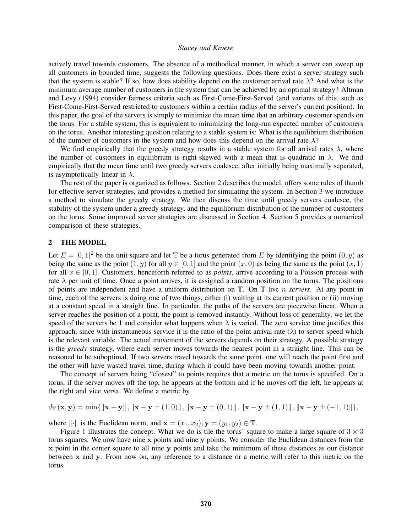actively travel towards customers. The absence of a methodical manner, in which a server can sweep up all customers in bounded time, suggests the following questions. Does there exist a server strategy such that the system is stable? If so, how does stability depend on the customer arrival rate  $\lambda$ ? And what is the minimum average number of customers in the system that can be achieved by an optimal strategy? Altman and Levy (1994) consider fairness criteria such as First-Come-First-Served (and variants of this, such as First-Come-First-Served restricted to customers within a certain radius of the server's current position). In this paper, the goal of the servers is simply to minimize the mean time that an arbitrary customer spends on the torus. For a stable system, this is equivalent to minimizing the long-run expected number of customers on the torus. Another interesting question relating to a stable system is: What is the equilibrium distribution of the number of customers in the system and how does this depend on the arrival rate  $\lambda$ ?

We find empirically that the greedy strategy results in a stable system for all arrival rates  $\lambda$ , where the number of customers in equilibrium is right-skewed with a mean that is quadratic in  $\lambda$ . We find empirically that the mean time until two greedy servers coalesce, after initially being maximally separated, is asymptotically linear in  $\lambda$ .

The rest of the paper is organized as follows. Section 2 describes the model, offers some rules of thumb for effective server strategies, and provides a method for simulating the system. In Section 3 we introduce a method to simulate the greedy strategy. We then discuss the time until greedy servers coalesce, the stability of the system under a greedy strategy, and the equilibrium distribution of the number of customers on the torus. Some improved server strategies are discussed in Section 4. Section 5 provides a numerical comparison of these strategies.

## 2 THE MODEL

Let  $E = [0, 1]^2$  be the unit square and let T be a torus generated from E by identifying the point  $(0, y)$  as being the same as the point  $(1, y)$  for all  $y \in [0, 1]$  and the point  $(x, 0)$  as being the same as the point  $(x, 1)$ for all  $x \in [0, 1]$ . Customers, henceforth referred to as *points*, arrive according to a Poisson process with rate  $\lambda$  per unit of time. Once a point arrives, it is assigned a random position on the torus. The positions of points are independent and have a uniform distribution on T. On T live n *servers*. At any point in time, each of the servers is doing one of two things, either (i) waiting at its current position or (ii) moving at a constant speed in a straight line. In particular, the paths of the servers are piecewise linear. When a server reaches the position of a point, the point is removed instantly. Without loss of generality, we let the speed of the servers be 1 and consider what happens when  $\lambda$  is varied. The zero service time justifies this approach, since with instantaneous service it is the ratio of the point arrival rate  $(\lambda)$  to server speed which is the relevant variable. The actual movement of the servers depends on their strategy. A possible strategy is the *greedy* strategy, where each server moves towards the nearest point in a straight line. This can be reasoned to be suboptimal. If two servers travel towards the same point, one will reach the point first and the other will have wasted travel time, during which it could have been moving towards another point.

The concept of servers being "closest" to points requires that a metric on the torus is specified. On a torus, if the server moves off the top, he appears at the bottom and if he moves off the left, he appears at the right and vice versa. We define a metric by

$$
d_{\mathbb{T}}(\mathbf{x}, \mathbf{y}) = \min\{\|\mathbf{x} - \mathbf{y}\|, \|\mathbf{x} - \mathbf{y} \pm (1, 0)\|, \|\mathbf{x} - \mathbf{y} \pm (0, 1)\|, \|\mathbf{x} - \mathbf{y} \pm (1, 1)\|, \|\mathbf{x} - \mathbf{y} \pm (-1, 1)\|\},\
$$

where  $\|\cdot\|$  is the Euclidean norm, and  $\mathbf{x} = (x_1, x_2), \mathbf{y} = (y_1, y_2) \in \mathbb{T}$ .

Figure 1 illustrates the concept. What we do is tile the torus' square to make a large square of  $3 \times 3$ torus squares. We now have nine x points and nine y points. We consider the Euclidean distances from the x point in the center square to all nine y points and take the minimum of these distances as our distance between x and y. From now on, any reference to a distance or a metric will refer to this metric on the torus.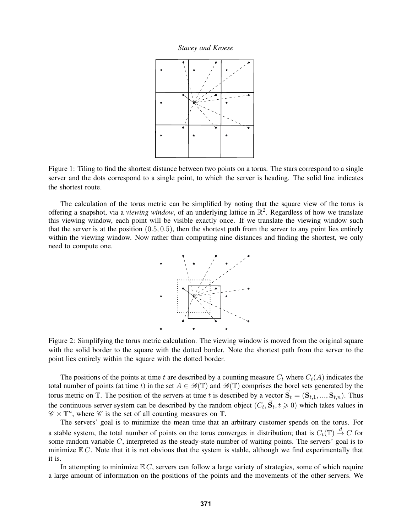*Stacey and Kroese*



Figure 1: Tiling to find the shortest distance between two points on a torus. The stars correspond to a single server and the dots correspond to a single point, to which the server is heading. The solid line indicates the shortest route.

The calculation of the torus metric can be simplified by noting that the square view of the torus is offering a snapshot, via a *viewing window*, of an underlying lattice in  $\mathbb{R}^2$ . Regardless of how we translate this viewing window, each point will be visible exactly once. If we translate the viewing window such that the server is at the position  $(0.5, 0.5)$ , then the shortest path from the server to any point lies entirely within the viewing window. Now rather than computing nine distances and finding the shortest, we only need to compute one.



Figure 2: Simplifying the torus metric calculation. The viewing window is moved from the original square with the solid border to the square with the dotted border. Note the shortest path from the server to the point lies entirely within the square with the dotted border.

The positions of the points at time t are described by a counting measure  $C_t$  where  $C_t(A)$  indicates the total number of points (at time t) in the set  $A \in \mathcal{B}(\mathbb{T})$  and  $\mathcal{B}(\mathbb{T})$  comprises the borel sets generated by the torus metric on T. The position of the servers at time t is described by a vector  $\vec{S}_t = (S_{t,1},...,S_{t,n})$ . Thus the continuous server system can be described by the random object  $(C_t, \vec{S}_t, t \geq 0)$  which takes values in  $\mathscr{C} \times \mathbb{T}^n$ , where  $\mathscr{C}$  is the set of all counting measures on  $\mathbb{T}$ .

The servers' goal is to minimize the mean time that an arbitrary customer spends on the torus. For a stable system, the total number of points on the torus converges in distribution; that is  $C_t(\mathbb{T}) \stackrel{d}{\rightarrow} C$  for some random variable C, interpreted as the steady-state number of waiting points. The servers' goal is to minimize  $\mathbb{E} C$ . Note that it is not obvious that the system is stable, although we find experimentally that it is.

In attempting to minimize  $\mathbb{E} C$ , servers can follow a large variety of strategies, some of which require a large amount of information on the positions of the points and the movements of the other servers. We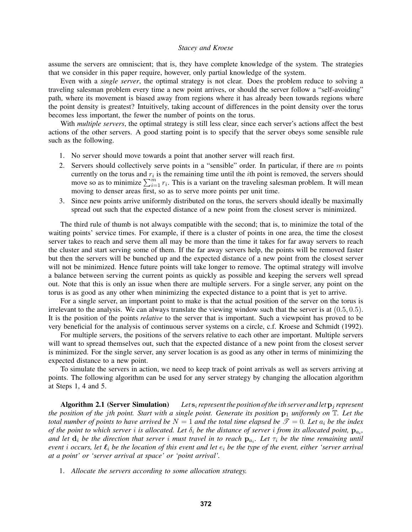assume the servers are omniscient; that is, they have complete knowledge of the system. The strategies that we consider in this paper require, however, only partial knowledge of the system.

Even with a *single server*, the optimal strategy is not clear. Does the problem reduce to solving a traveling salesman problem every time a new point arrives, or should the server follow a "self-avoiding" path, where its movement is biased away from regions where it has already been towards regions where the point density is greatest? Intuitively, taking account of differences in the point density over the torus becomes less important, the fewer the number of points on the torus.

With *multiple servers*, the optimal strategy is still less clear, since each server's actions affect the best actions of the other servers. A good starting point is to specify that the server obeys some sensible rule such as the following.

- 1. No server should move towards a point that another server will reach first.
- 2. Servers should collectively serve points in a "sensible" order. In particular, if there are  $m$  points currently on the torus and  $r_i$  is the remaining time until the *i*th point is removed, the servers should move so as to minimize  $\sum_{i=1}^{m} r_i$ . This is a variant on the traveling salesman problem. It will mean moving to denser areas first, so as to serve more points per unit time.
- 3. Since new points arrive uniformly distributed on the torus, the servers should ideally be maximally spread out such that the expected distance of a new point from the closest server is minimized.

The third rule of thumb is not always compatible with the second; that is, to minimize the total of the waiting points' service times. For example, if there is a cluster of points in one area, the time the closest server takes to reach and serve them all may be more than the time it takes for far away servers to reach the cluster and start serving some of them. If the far away servers help, the points will be removed faster but then the servers will be bunched up and the expected distance of a new point from the closest server will not be minimized. Hence future points will take longer to remove. The optimal strategy will involve a balance between serving the current points as quickly as possible and keeping the servers well spread out. Note that this is only an issue when there are multiple servers. For a single server, any point on the torus is as good as any other when minimizing the expected distance to a point that is yet to arrive.

For a single server, an important point to make is that the actual position of the server on the torus is irrelevant to the analysis. We can always translate the viewing window such that the server is at  $(0.5, 0.5)$ . It is the position of the points *relative* to the server that is important. Such a viewpoint has proved to be very beneficial for the analysis of continuous server systems on a circle, c.f. Kroese and Schmidt (1992).

For multiple servers, the positions of the servers relative to each other are important. Multiple servers will want to spread themselves out, such that the expected distance of a new point from the closest server is minimized. For the single server, any server location is as good as any other in terms of minimizing the expected distance to a new point.

To simulate the servers in action, we need to keep track of point arrivals as well as servers arriving at points. The following algorithm can be used for any server strategy by changing the allocation algorithm at Steps 1, 4 and 5.

Algorithm 2.1 (Server Simulation) *Let* si*represent the position of the* i*th server and let*p<sup>j</sup> *represent the position of the jth point. Start with a single point. Generate its position*  $p_1$  *uniformly on*  $\mathbb{T}$ *. Let the total number of points to have arrived be*  $N = 1$  *and the total time elapsed be*  $\mathcal{T} = 0$ *. Let*  $a_i$  *be the index of the point to which server i is allocated. Let*  $\delta_i$  *be the distance of server i from its allocated point,*  $\mathbf{p}_{a_i}$ *, and let*  $d_i$  *be the direction that server i must travel in to reach*  $p_{a_i}$ *. Let*  $\tau_i$  *be the time remaining until event i occurs, let*  $\ell_i$  *be the location of this event and let*  $\epsilon_i$  *be the type of the event, either 'server arrival at a point' or 'server arrival at space' or 'point arrival'.*

1. *Allocate the servers according to some allocation strategy.*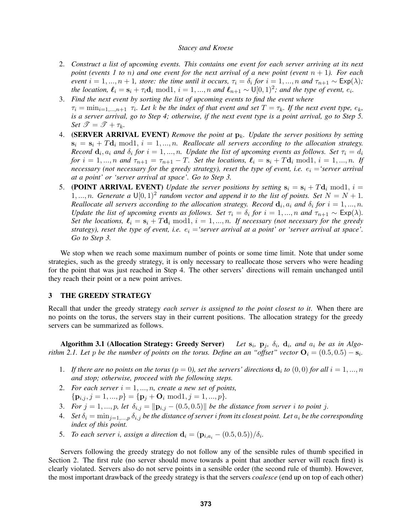- 2. *Construct a list of upcoming events. This contains one event for each server arriving at its next point (events 1 to* n*) and one event for the next arrival of a new point (event* n + 1*). For each event*  $i = 1, ..., n + 1$ *, store: the time until it occurs,*  $\tau_i = \delta_i$  *for*  $i = 1, ..., n$  *and*  $\tau_{n+1} \sim \text{Exp}(\lambda)$ *; the location,*  $\ell_i = s_i + \tau_i d_i \mod 1, i = 1, ..., n$  and  $\ell_{n+1} \sim \mathsf{U}[0, 1)^2$ ; and the type of event,  $e_i$ .
- 3. *Find the next event by sorting the list of upcoming events to find the event where*  $\tau_i = \min_{i=1,\dots,n+1} \tau_i$ . Let k be the index of that event and set  $T = \tau_k$ . If the next event type,  $e_k$ , *is a server arrival, go to Step 4; otherwise, if the next event type is a point arrival, go to Step 5. Set*  $\mathscr{T} = \mathscr{T} + \tau_k$ *.*
- 4. **(SERVER ARRIVAL EVENT)** *Remove the point at*  $p_k$ . *Update the server positions by setting*  $s_i = s_i + T d_i \bmod l$ ,  $i = 1, ..., n$ . Reallocate all servers according to the allocation strategy. *Record*  $\mathbf{d}_i$ ,  $a_i$  and  $\delta_i$  for  $i = 1, ..., n$ . Update the list of upcoming events as follows. Set  $\tau_i = d_i$ *for*  $i = 1, ..., n$  and  $\tau_{n+1} = \tau_{n+1} - T$ . Set the locations,  $\ell_i = s_i + Td_i \text{ mod } 1$ ,  $i = 1, ..., n$ . If *necessary (not necessary for the greedy strategy), reset the type of event, i.e.*  $e_i = 'server$  arrival *at a point' or 'server arrival at space'. Go to Step 3.*
- 5. **(POINT ARRIVAL EVENT)** *Update the server positions by setting*  $s_i = s_i + Td_i \text{ mod } 1$ ,  $i =$ 1, ..., *n.* Generate a  $\mathsf{U}[0,1)^2$  random vector and append it to the list of points. Set  $N = N + 1$ . *Reallocate all servers according to the allocation strategy. Record*  $\mathbf{d}_i$ ,  $a_i$  and  $\delta_i$  for  $i = 1, ..., n$ . *Update the list of upcoming events as follows. Set*  $\tau_i = \delta_i$  *for*  $i = 1, ..., n$  *and*  $\tau_{n+1} \sim \text{Exp}(\lambda)$ *. Set the locations,*  $\ell_i = s_i + Td_i \mod 1$ ,  $i = 1, ..., n$ . If necessary (not necessary for the greedy *strategy), reset the type of event, i.e.*  $e_i = 'server$  arrival at a point' or 'server arrival at space'. *Go to Step 3.*

We stop when we reach some maximum number of points or some time limit. Note that under some strategies, such as the greedy strategy, it is only necessary to reallocate those servers who were heading for the point that was just reached in Step 4. The other servers' directions will remain unchanged until they reach their point or a new point arrives.

## 3 THE GREEDY STRATEGY

Recall that under the greedy strategy *each server is assigned to the point closest to it*. When there are no points on the torus, the servers stay in their current positions. The allocation strategy for the greedy servers can be summarized as follows.

Algorithm 3.1 (Allocation Strategy: Greedy Server) *,*  $\mathbf{p}_j$ *,*  $\delta_i$ *,*  $\mathbf{d}_i$ *, and*  $a_i$  *be as in Algorithm* 2.1. Let p be the number of points on the torus. Define an an "offset" vector  $O_i = (0.5, 0.5) - s_i$ .

- 1. If there are no points on the torus ( $p = 0$ ), set the servers' directions  $\mathbf{d}_i$  to  $(0,0)$  for all  $i = 1, ..., n$ *and stop; otherwise, proceed with the following steps.*
- 2. For each server  $i = 1, ..., n$ , create a new set of points,  ${\bf p}_{i,j}, j = 1, ..., p$ } = { ${\bf p}_j + {\bf O}_i \text{ mod } 1, j = 1, ..., p$ *}*.
- 3. *For*  $j = 1, ..., p$ , let  $\delta_{i,j} = ||\mathbf{p}_{i,j} (0.5, 0.5)||$  *be the distance from server i to point* j.
- 4. *Set*  $\delta_i = \min_{j=1,\dots,p} \delta_{i,j}$  *be the distance of server i from its closest point. Let*  $a_i$  *be the corresponding index of this point.*
- 5. *To each server i, assign a direction*  $\mathbf{d}_i = (\mathbf{p}_{i,a_i} (0.5,0.5))/\delta_i$ .

Servers following the greedy strategy do not follow any of the sensible rules of thumb specified in Section 2. The first rule (no server should move towards a point that another server will reach first) is clearly violated. Servers also do not serve points in a sensible order (the second rule of thumb). However, the most important drawback of the greedy strategy is that the servers *coalesce* (end up on top of each other)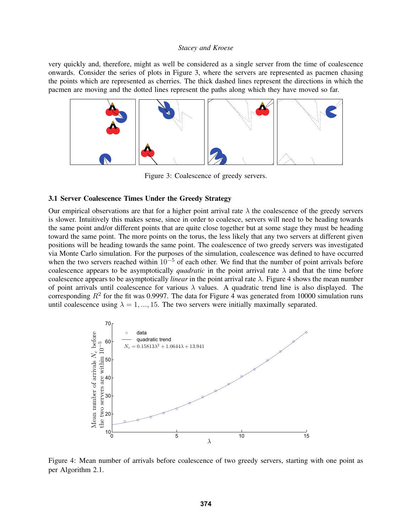very quickly and, therefore, might as well be considered as a single server from the time of coalescence onwards. Consider the series of plots in Figure 3, where the servers are represented as pacmen chasing the points which are represented as cherries. The thick dashed lines represent the directions in which the pacmen are moving and the dotted lines represent the paths along which they have moved so far.



Figure 3: Coalescence of greedy servers.

#### 3.1 Server Coalescence Times Under the Greedy Strategy

Our empirical observations are that for a higher point arrival rate  $\lambda$  the coalescence of the greedy servers is slower. Intuitively this makes sense, since in order to coalesce, servers will need to be heading towards the same point and/or different points that are quite close together but at some stage they must be heading toward the same point. The more points on the torus, the less likely that any two servers at different given positions will be heading towards the same point. The coalescence of two greedy servers was investigated via Monte Carlo simulation. For the purposes of the simulation, coalescence was defined to have occurred when the two servers reached within  $10^{-5}$  of each other. We find that the number of point arrivals before coalescence appears to be asymptotically *quadratic* in the point arrival rate  $\lambda$  and that the time before coalescence appears to be asymptotically *linear* in the point arrival rate λ. Figure 4 shows the mean number of point arrivals until coalescence for various  $\lambda$  values. A quadratic trend line is also displayed. The corresponding  $R^2$  for the fit was 0.9997. The data for Figure 4 was generated from 10000 simulation runs until coalescence using  $\lambda = 1, ..., 15$ . The two servers were initially maximally separated.



Figure 4: Mean number of arrivals before coalescence of two greedy servers, starting with one point as per Algorithm 2.1.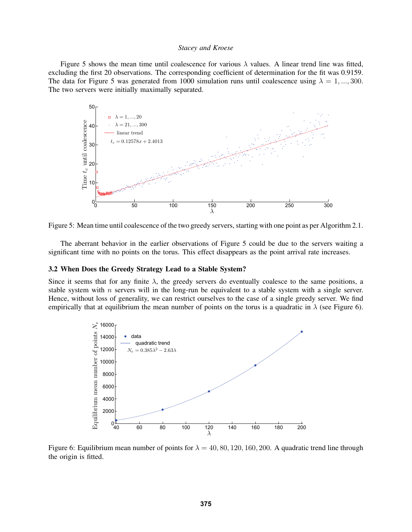Figure 5 shows the mean time until coalescence for various  $\lambda$  values. A linear trend line was fitted, excluding the first 20 observations. The corresponding coefficient of determination for the fit was 0.9159. The data for Figure 5 was generated from 1000 simulation runs until coalescence using  $\lambda = 1, ..., 300$ . The two servers were initially maximally separated.



Figure 5: Mean time until coalescence of the two greedy servers, starting with one point as per Algorithm 2.1.

The aberrant behavior in the earlier observations of Figure 5 could be due to the servers waiting a significant time with no points on the torus. This effect disappears as the point arrival rate increases.

#### 3.2 When Does the Greedy Strategy Lead to a Stable System?

Since it seems that for any finite  $\lambda$ , the greedy servers do eventually coalesce to the same positions, a stable system with  $n$  servers will in the long-run be equivalent to a stable system with a single server. Hence, without loss of generality, we can restrict ourselves to the case of a single greedy server. We find empirically that at equilibrium the mean number of points on the torus is a quadratic in  $\lambda$  (see Figure 6).



Figure 6: Equilibrium mean number of points for  $\lambda = 40, 80, 120, 160, 200$ . A quadratic trend line through the origin is fitted.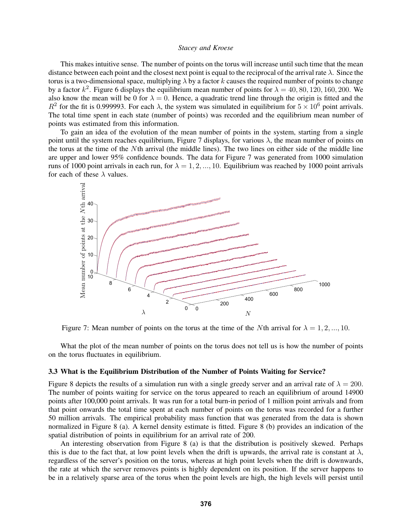This makes intuitive sense. The number of points on the torus will increase until such time that the mean distance between each point and the closest next point is equal to the reciprocal of the arrival rate  $\lambda$ . Since the torus is a two-dimensional space, multiplying  $\lambda$  by a factor k causes the required number of points to change by a factor  $k^2$ . Figure 6 displays the equilibrium mean number of points for  $\lambda = 40, 80, 120, 160, 200$ . We also know the mean will be 0 for  $\lambda = 0$ . Hence, a quadratic trend line through the origin is fitted and the  $R^2$  for the fit is 0.999993. For each λ, the system was simulated in equilibrium for  $5 \times 10^6$  point arrivals. The total time spent in each state (number of points) was recorded and the equilibrium mean number of points was estimated from this information.

To gain an idea of the evolution of the mean number of points in the system, starting from a single point until the system reaches equilibrium, Figure 7 displays, for various  $\lambda$ , the mean number of points on the torus at the time of the Nth arrival (the middle lines). The two lines on either side of the middle line are upper and lower 95% confidence bounds. The data for Figure 7 was generated from 1000 simulation runs of 1000 point arrivals in each run, for  $\lambda = 1, 2, ..., 10$ . Equilibrium was reached by 1000 point arrivals for each of these  $\lambda$  values.



Figure 7: Mean number of points on the torus at the time of the Nth arrival for  $\lambda = 1, 2, ..., 10$ .

What the plot of the mean number of points on the torus does not tell us is how the number of points on the torus fluctuates in equilibrium.

#### 3.3 What is the Equilibrium Distribution of the Number of Points Waiting for Service?

Figure 8 depicts the results of a simulation run with a single greedy server and an arrival rate of  $\lambda = 200$ . The number of points waiting for service on the torus appeared to reach an equilibrium of around 14900 points after 100,000 point arrivals. It was run for a total burn-in period of 1 million point arrivals and from that point onwards the total time spent at each number of points on the torus was recorded for a further 50 million arrivals. The empirical probability mass function that was generated from the data is shown normalized in Figure 8 (a). A kernel density estimate is fitted. Figure 8 (b) provides an indication of the spatial distribution of points in equilibrium for an arrival rate of 200.

An interesting observation from Figure 8 (a) is that the distribution is positively skewed. Perhaps this is due to the fact that, at low point levels when the drift is upwards, the arrival rate is constant at  $\lambda$ , regardless of the server's position on the torus, whereas at high point levels when the drift is downwards, the rate at which the server removes points is highly dependent on its position. If the server happens to be in a relatively sparse area of the torus when the point levels are high, the high levels will persist until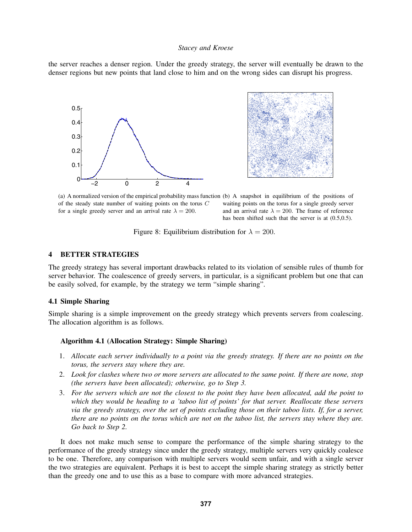the server reaches a denser region. Under the greedy strategy, the server will eventually be drawn to the denser regions but new points that land close to him and on the wrong sides can disrupt his progress.





(a) A normalized version of the empirical probability mass function (b) A snapshot in equilibrium of the positions of of the steady state number of waiting points on the torus C for a single greedy server and an arrival rate  $\lambda = 200$ .

waiting points on the torus for a single greedy server and an arrival rate  $\lambda = 200$ . The frame of reference has been shifted such that the server is at (0.5,0.5).

Figure 8: Equilibrium distribution for  $\lambda = 200$ .

# 4 BETTER STRATEGIES

The greedy strategy has several important drawbacks related to its violation of sensible rules of thumb for server behavior. The coalescence of greedy servers, in particular, is a significant problem but one that can be easily solved, for example, by the strategy we term "simple sharing".

#### 4.1 Simple Sharing

Simple sharing is a simple improvement on the greedy strategy which prevents servers from coalescing. The allocation algorithm is as follows.

#### Algorithm 4.1 (Allocation Strategy: Simple Sharing)

- 1. *Allocate each server individually to a point via the greedy strategy. If there are no points on the torus, the servers stay where they are.*
- 2. *Look for clashes where two or more servers are allocated to the same point. If there are none, stop (the servers have been allocated); otherwise, go to Step 3.*
- 3. *For the servers which are not the closest to the point they have been allocated, add the point to which they would be heading to a 'taboo list of points' for that server. Reallocate these servers via the greedy strategy, over the set of points excluding those on their taboo lists. If, for a server, there are no points on the torus which are not on the taboo list, the servers stay where they are. Go back to Step 2.*

It does not make much sense to compare the performance of the simple sharing strategy to the performance of the greedy strategy since under the greedy strategy, multiple servers very quickly coalesce to be one. Therefore, any comparison with multiple servers would seem unfair, and with a single server the two strategies are equivalent. Perhaps it is best to accept the simple sharing strategy as strictly better than the greedy one and to use this as a base to compare with more advanced strategies.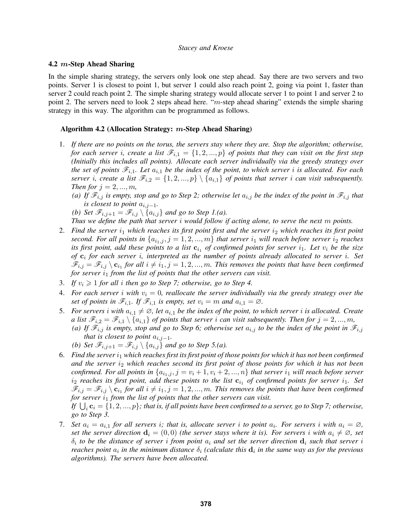### 4.2 m-Step Ahead Sharing

In the simple sharing strategy, the servers only look one step ahead. Say there are two servers and two points. Server 1 is closest to point 1, but server 1 could also reach point 2, going via point 1, faster than server 2 could reach point 2. The simple sharing strategy would allocate server 1 to point 1 and server 2 to point 2. The servers need to look 2 steps ahead here. "m-step ahead sharing" extends the simple sharing strategy in this way. The algorithm can be programmed as follows.

### Algorithm 4.2 (Allocation Strategy:  $m$ -Step Ahead Sharing)

- 1. *If there are no points on the torus, the servers stay where they are. Stop the algorithm; otherwise, for each server i, create a list*  $\mathcal{F}_{i,1} = \{1,2,...,p\}$  *of points that they can visit on the first step (Initially this includes all points). Allocate each server individually via the greedy strategy over the set of points*  $\mathscr{F}_{i,1}$ *. Let*  $a_{i,1}$  *be the index of the point, to which server i is allocated. For each server i*, *create* a list  $\mathscr{F}_{i,2} = \{1,2,...,p\} \setminus \{a_{i,1}\}$  *of points that server i can visit subsequently. Then for*  $j = 2, ..., m$ ,
	- *(a)* If  $\mathcal{F}_{i,j}$  is empty, stop and go to Step 2; otherwise let  $a_{i,j}$  be the index of the point in  $\mathcal{F}_{i,j}$  that *is closest to point*  $a_{i,j-1}$ *.*
	- *(b) Set*  $\mathscr{F}_{i,j+1} = \mathscr{F}_{i,j} \setminus \{a_{i,j}\}\$ and go to Step 1.(a).
	- *Thus we define the path that server* i *would follow if acting alone, to serve the next* m *points.*
- 2. Find the server  $i_1$  which reaches its first point first and the server  $i_2$  which reaches its first point *second. For all points in*  $\{a_{i_1,j}, j = 1, 2, ..., m\}$  *that server*  $i_1$  *will reach before server*  $i_2$  *reaches its first point, add these points to a list*  $\mathbf{c}_{i_1}$  *of confirmed points for server*  $i_1$ *. Let*  $v_i$  *be the size of* c<sup>i</sup> *for each server* i*, interpreted as the number of points already allocated to server* i*. Set*  $\mathscr{F}_{i,j} = \mathscr{F}_{i,j} \setminus \mathbf{c}_{i_1}$  for all  $i \neq i_1, j = 1, 2, ..., m$ . This removes the points that have been confirmed *for server*  $i_1$  *from the list of points that the other servers can visit.*
- 3. If  $v_i \geq 1$  for all *i* then go to Step 7; otherwise, go to Step 4.
- 4. For each server *i* with  $v_i = 0$ , reallocate the server individually via the greedy strategy over the *set of points in*  $\mathscr{F}_{i,1}$ *. If*  $\mathscr{F}_{i,1}$  *is empty, set*  $v_i = m$  *and*  $a_{i,1} = \emptyset$ *.*
- 5. For servers i with  $a_{i,1} \neq \emptyset$ , let  $a_{i,1}$  be the index of the point, to which server i is allocated. Create *a list*  $\mathscr{F}_{i,2} = \mathscr{F}_{i,1} \setminus \{a_{i,1}\}$  *of points that server i can visit subsequently. Then for*  $j = 2, ..., m$ , *(a)* If  $\mathcal{F}_{i,j}$  is empty, stop and go to Step 6; otherwise set  $a_{i,j}$  to be the index of the point in  $\mathcal{F}_{i,j}$ *that is closest to point*  $a_{i,j-1}$ *.* 
	- *(b) Set*  $\mathscr{F}_{i,j+1} = \mathscr{F}_{i,j} \setminus \{a_{i,j}\}\$  *and go to Step 5.(a).*
- 6. Find the server  $i_1$  which reaches first its first point of those points for which it has not been confirmed and the server i<sub>2</sub> which reaches second its first point of those points for which it has not been *confirmed. For all points in*  $\{a_{i_1,j}, j = v_i + 1, v_i + 2, ..., n\}$  *that server*  $i_1$  *will reach before server*  $i_2$  *reaches its first point, add these points to the list*  $\mathbf{c}_{i_1}$  *of confirmed points for server*  $i_1$ *. Set*  $\mathscr{F}_{i,j} = \mathscr{F}_{i,j} \setminus \mathbf{c}_{i_1}$  for all  $i \neq i_1, j = 1, 2, ..., m$ . This removes the points that have been confirmed *for server*  $i_1$  *from the list of points that the other servers can visit.*

If  $\bigcup_i \mathbf{c}_i = \{1, 2, ..., p\}$ ; that is, if all points have been confirmed to a server, go to Step 7; otherwise, *go to Step 3.*

7. *Set*  $a_i = a_{i,1}$  *for all servers i; that is, allocate server i to point*  $a_i$ *. For servers i with*  $a_i = \emptyset$ *, set the server direction*  $\mathbf{d}_i = (0,0)$  *(the server stays where it is). For servers i with*  $a_i \neq \emptyset$ *, set*  $\delta_i$  to be the distance of server i from point  $a_i$  and set the server direction  $\mathbf{d}_i$  such that server i *reaches point*  $a_i$  in the minimum distance  $\delta_i$  (calculate this  $\mathbf{d}_i$  in the same way as for the previous *algorithms). The servers have been allocated.*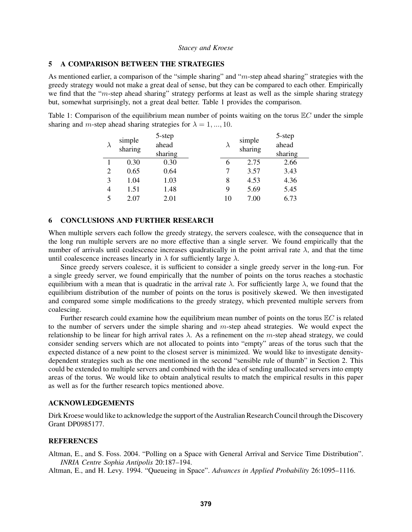#### 5 A COMPARISON BETWEEN THE STRATEGIES

As mentioned earlier, a comparison of the "simple sharing" and "m-step ahead sharing" strategies with the greedy strategy would not make a great deal of sense, but they can be compared to each other. Empirically we find that the "m-step ahead sharing" strategy performs at least as well as the simple sharing strategy but, somewhat surprisingly, not a great deal better. Table 1 provides the comparison.

Table 1: Comparison of the equilibrium mean number of points waiting on the torus  $\mathbb{E}C$  under the simple sharing and *m*-step ahead sharing strategies for  $\lambda = 1, ..., 10$ .

| $\lambda$ | simple<br>sharing | 5-step<br>ahead<br>sharing | $\lambda$ | simple<br>sharing | 5-step<br>ahead<br>sharing |
|-----------|-------------------|----------------------------|-----------|-------------------|----------------------------|
|           | 0.30              | 0.30                       | 6         | 2.75              | 2.66                       |
| 2         | 0.65              | 0.64                       |           | 3.57              | 3.43                       |
| 3         | 1.04              | 1.03                       | 8         | 4.53              | 4.36                       |
| 4         | 1.51              | 1.48                       | 9         | 5.69              | 5.45                       |
| 5         | 2.07              | 2.01                       | 10        | 7.00              | 6.73                       |

### 6 CONCLUSIONS AND FURTHER RESEARCH

When multiple servers each follow the greedy strategy, the servers coalesce, with the consequence that in the long run multiple servers are no more effective than a single server. We found empirically that the number of arrivals until coalescence increases quadratically in the point arrival rate  $\lambda$ , and that the time until coalescence increases linearly in  $\lambda$  for sufficiently large  $\lambda$ .

Since greedy servers coalesce, it is sufficient to consider a single greedy server in the long-run. For a single greedy server, we found empirically that the number of points on the torus reaches a stochastic equilibrium with a mean that is quadratic in the arrival rate  $\lambda$ . For sufficiently large  $\lambda$ , we found that the equilibrium distribution of the number of points on the torus is positively skewed. We then investigated and compared some simple modifications to the greedy strategy, which prevented multiple servers from coalescing.

Further research could examine how the equilibrium mean number of points on the torus  $\mathbb{E}C$  is related to the number of servers under the simple sharing and m-step ahead strategies. We would expect the relationship to be linear for high arrival rates  $\lambda$ . As a refinement on the m-step ahead strategy, we could consider sending servers which are not allocated to points into "empty" areas of the torus such that the expected distance of a new point to the closest server is minimized. We would like to investigate densitydependent strategies such as the one mentioned in the second "sensible rule of thumb" in Section 2. This could be extended to multiple servers and combined with the idea of sending unallocated servers into empty areas of the torus. We would like to obtain analytical results to match the empirical results in this paper as well as for the further research topics mentioned above.

## ACKNOWLEDGEMENTS

Dirk Kroese would like to acknowledge the support of the Australian Research Council through the Discovery Grant DP0985177.

## REFERENCES

Altman, E., and S. Foss. 2004. "Polling on a Space with General Arrival and Service Time Distribution". *INRIA Centre Sophia Antipolis* 20:187–194.

Altman, E., and H. Levy. 1994. "Queueing in Space". *Advances in Applied Probability* 26:1095–1116.